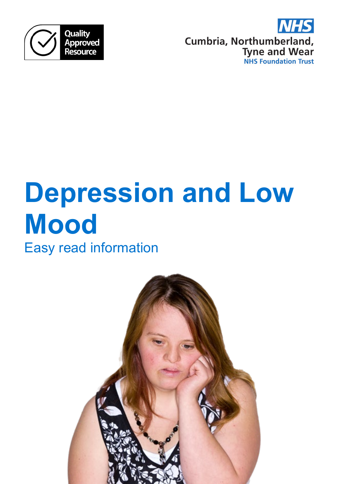



# **Depression and Low Mood**

Easy read information

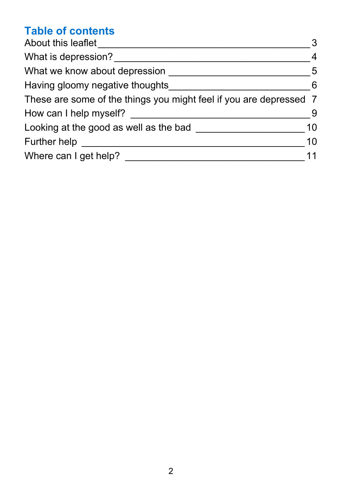# **Table of contents**

| About this leaflet                                                 | 3              |
|--------------------------------------------------------------------|----------------|
| What is depression?                                                | $\overline{4}$ |
| What we know about depression                                      | 5              |
| Having gloomy negative thoughts                                    | 6              |
| These are some of the things you might feel if you are depressed 7 |                |
| How can I help myself?                                             | 9              |
| Looking at the good as well as the bad                             | 10             |
| <b>Further help</b>                                                | 10             |
| Where can I get help?                                              | 11             |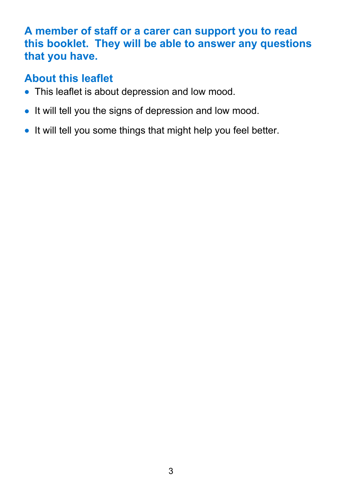#### **A member of staff or a carer can support you to read this booklet. They will be able to answer any questions that you have.**

## <span id="page-2-0"></span>**About this leaflet**

- This leaflet is about depression and low mood.
- It will tell you the signs of depression and low mood.
- It will tell you some things that might help you feel better.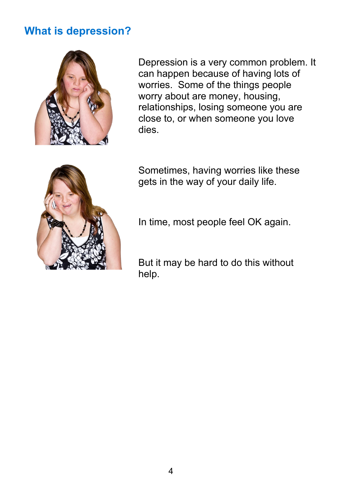#### <span id="page-3-0"></span>**What is depression?**



Depression is a very common problem. It can happen because of having lots of worries. Some of the things people worry about are money, housing, relationships, losing someone you are close to, or when someone you love dies.



Sometimes, having worries like these gets in the way of your daily life.

In time, most people feel OK again.

But it may be hard to do this without help.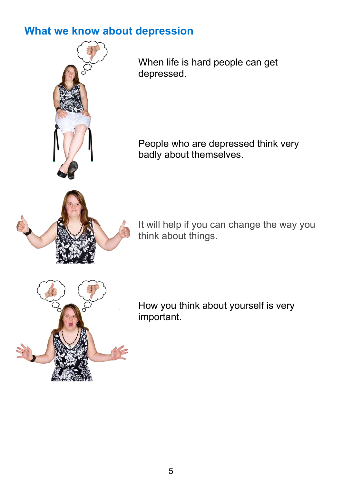#### <span id="page-4-0"></span>**What we know about depression**

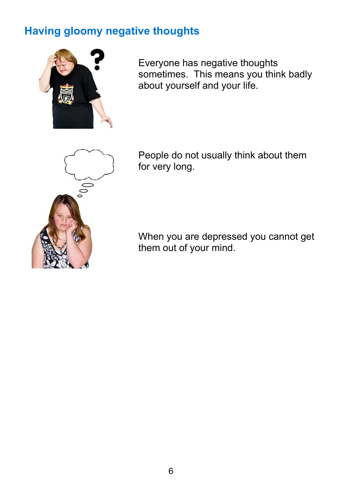## <span id="page-5-0"></span>**Having gloomy negative thoughts**



Everyone has negative thoughts sometimes. This means you think badly about yourself and your life.



People do not usually think about them for very long.

When you are depressed you cannot get them out of your mind.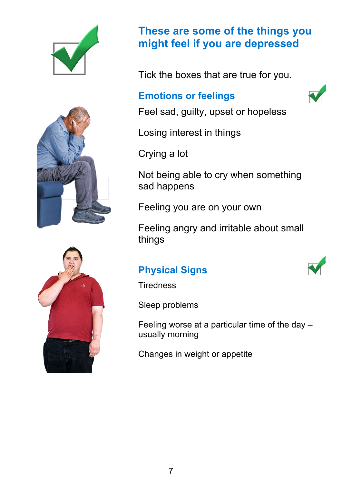



#### <span id="page-6-0"></span>**These are some of the things you might feel if you are depressed**

Tick the boxes that are true for you.

#### **Emotions or feelings**



Feel sad, guilty, upset or hopeless

Losing interest in things

Crying a lot

Not being able to cry when something sad happens

Feeling you are on your own

Feeling angry and irritable about small things

#### **Physical Signs**

**Tiredness** 

Sleep problems

Feeling worse at a particular time of the day – usually morning

Changes in weight or appetite



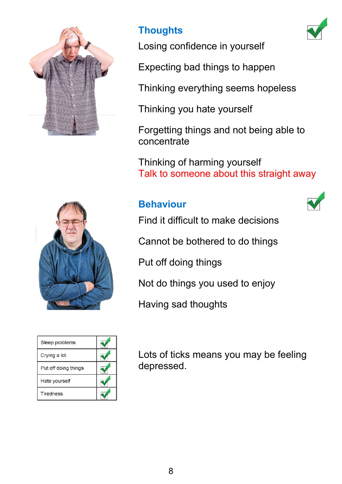

### **Thoughts**



Losing confidence in yourself

Expecting bad things to happen

Thinking everything seems hopeless

Thinking you hate yourself

Forgetting things and not being able to concentrate

Thinking of harming yourself Talk to someone about this straight away

#### **Behaviour**





| Sleep problems       |  |
|----------------------|--|
| Crying a lot         |  |
| Put off doing things |  |
| Hate yourself        |  |
| Tiredness            |  |

Find it difficult to make decisions

Cannot be bothered to do things

Put off doing things

Not do things you used to enjoy

Having sad thoughts

Lots of ticks means you may be feeling depressed.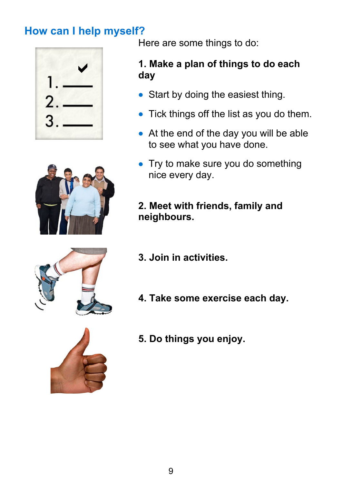# <span id="page-8-0"></span>**How can I help myself?**



Here are some things to do:

#### **1. Make a plan of things to do each day**

- Start by doing the easiest thing.
- Tick things off the list as you do them.
- At the end of the day you will be able to see what you have done.
- Try to make sure you do something nice every day.
- **2. Meet with friends, family and neighbours.**
- 
- **3. Join in activities.**
- **4. Take some exercise each day.**



**5. Do things you enjoy.**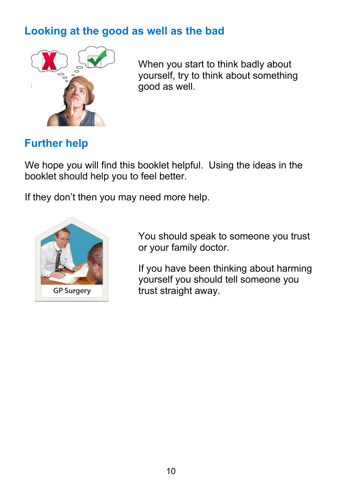## <span id="page-9-0"></span>**Looking at the good as well as the bad**



When you start to think badly about yourself, try to think about something good as well.

## <span id="page-9-1"></span>**Further help**

We hope you will find this booklet helpful. Using the ideas in the booklet should help you to feel better.

If they don't then you may need more help.



You should speak to someone you trust or your family doctor.

If you have been thinking about harming yourself you should tell someone you trust straight away.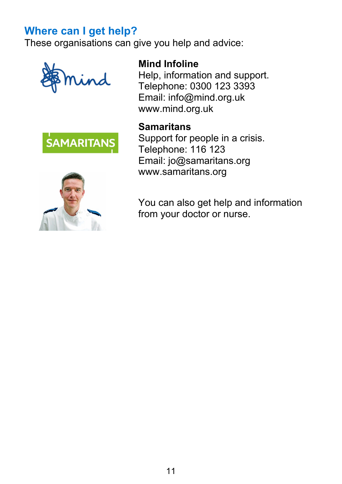## <span id="page-10-0"></span>**Where can I get help?**

These organisations can give you help and advice:







#### **Mind Infoline**

Help, information and support. Telephone: 0300 123 3393 Email: info@mind.org.uk www.mind.org.uk

#### **Samaritans**

Support for people in a crisis. Telephone: 116 123 Email: jo@samaritans.org www.samaritans.org

You can also get help and information from your doctor or nurse.